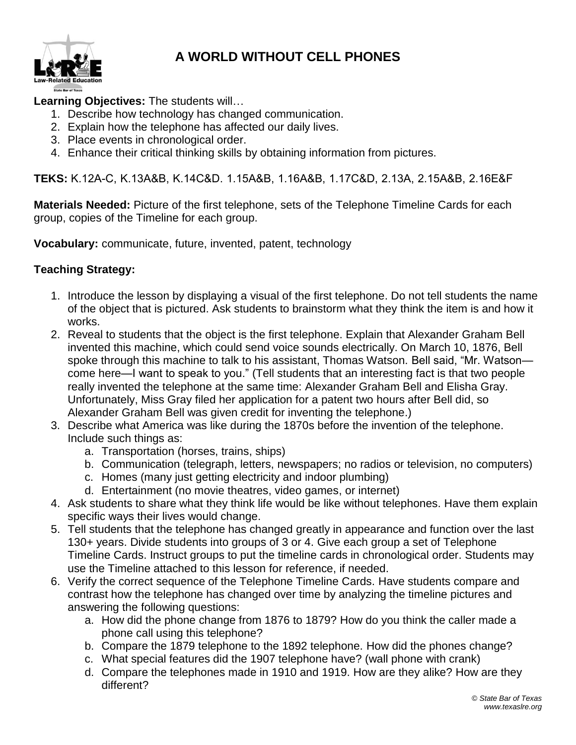

### **A WORLD WITHOUT CELL PHONES**

### **Learning Objectives:** The students will…

- 1. Describe how technology has changed communication.
- 2. Explain how the telephone has affected our daily lives.
- 3. Place events in chronological order.
- 4. Enhance their critical thinking skills by obtaining information from pictures.

**TEKS:** K.12A-C, K.13A&B, K.14C&D. 1.15A&B, 1.16A&B, 1.17C&D, 2.13A, 2.15A&B, 2.16E&F

**Materials Needed:** Picture of the first telephone, sets of the Telephone Timeline Cards for each group, copies of the Timeline for each group.

**Vocabulary:** communicate, future, invented, patent, technology

### **Teaching Strategy:**

- 1. Introduce the lesson by displaying a visual of the first telephone. Do not tell students the name of the object that is pictured. Ask students to brainstorm what they think the item is and how it works.
- 2. Reveal to students that the object is the first telephone. Explain that Alexander Graham Bell invented this machine, which could send voice sounds electrically. On March 10, 1876, Bell spoke through this machine to talk to his assistant, Thomas Watson. Bell said, "Mr. Watson come here—I want to speak to you." (Tell students that an interesting fact is that two people really invented the telephone at the same time: Alexander Graham Bell and Elisha Gray. Unfortunately, Miss Gray filed her application for a patent two hours after Bell did, so Alexander Graham Bell was given credit for inventing the telephone.)
- 3. Describe what America was like during the 1870s before the invention of the telephone. Include such things as:
	- a. Transportation (horses, trains, ships)
	- b. Communication (telegraph, letters, newspapers; no radios or television, no computers)
	- c. Homes (many just getting electricity and indoor plumbing)
	- d. Entertainment (no movie theatres, video games, or internet)
- 4. Ask students to share what they think life would be like without telephones. Have them explain specific ways their lives would change.
- 5. Tell students that the telephone has changed greatly in appearance and function over the last 130+ years. Divide students into groups of 3 or 4. Give each group a set of Telephone Timeline Cards. Instruct groups to put the timeline cards in chronological order. Students may use the Timeline attached to this lesson for reference, if needed.
- 6. Verify the correct sequence of the Telephone Timeline Cards. Have students compare and contrast how the telephone has changed over time by analyzing the timeline pictures and answering the following questions:
	- a. How did the phone change from 1876 to 1879? How do you think the caller made a phone call using this telephone?
	- b. Compare the 1879 telephone to the 1892 telephone. How did the phones change?
	- c. What special features did the 1907 telephone have? (wall phone with crank)
	- d. Compare the telephones made in 1910 and 1919. How are they alike? How are they different?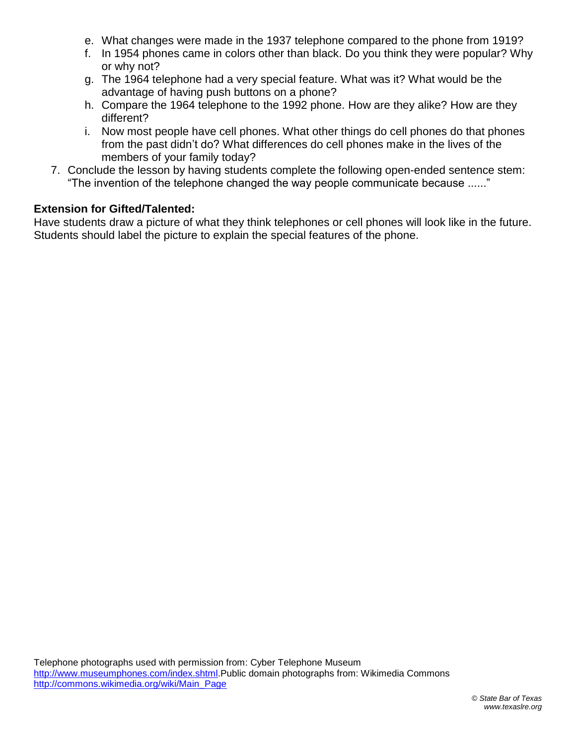- e. What changes were made in the 1937 telephone compared to the phone from 1919?
- f. In 1954 phones came in colors other than black. Do you think they were popular? Why or why not?
- g. The 1964 telephone had a very special feature. What was it? What would be the advantage of having push buttons on a phone?
- h. Compare the 1964 telephone to the 1992 phone. How are they alike? How are they different?
- i. Now most people have cell phones. What other things do cell phones do that phones from the past didn't do? What differences do cell phones make in the lives of the members of your family today?
- 7. Conclude the lesson by having students complete the following open-ended sentence stem: "The invention of the telephone changed the way people communicate because ......"

#### **Extension for Gifted/Talented:**

Have students draw a picture of what they think telephones or cell phones will look like in the future. Students should label the picture to explain the special features of the phone.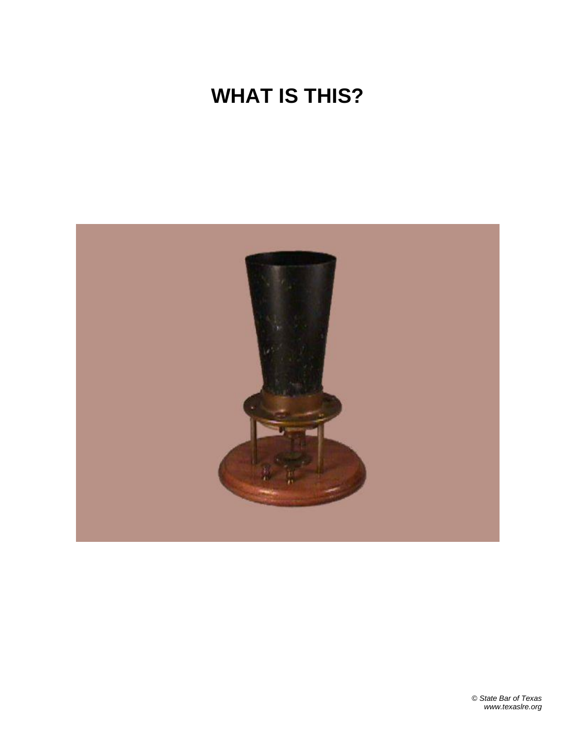### **WHAT IS THIS?**

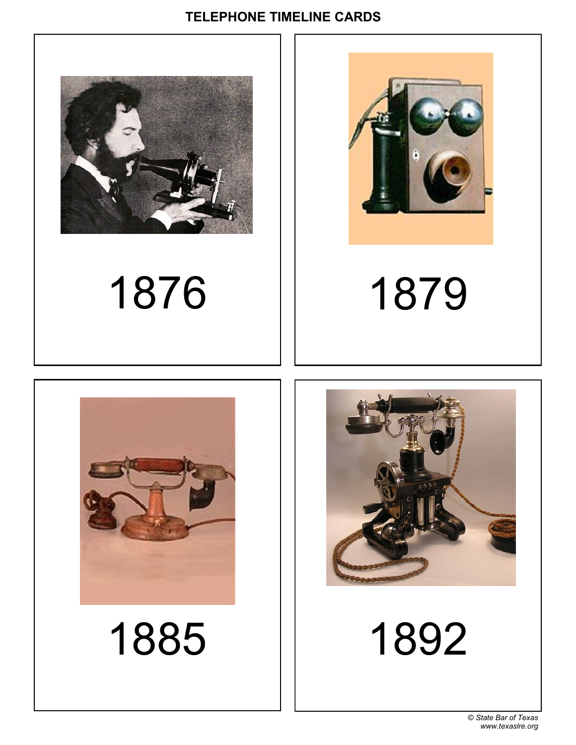### **TELEPHONE TIMELINE CARDS**



1876 1879









1885 1892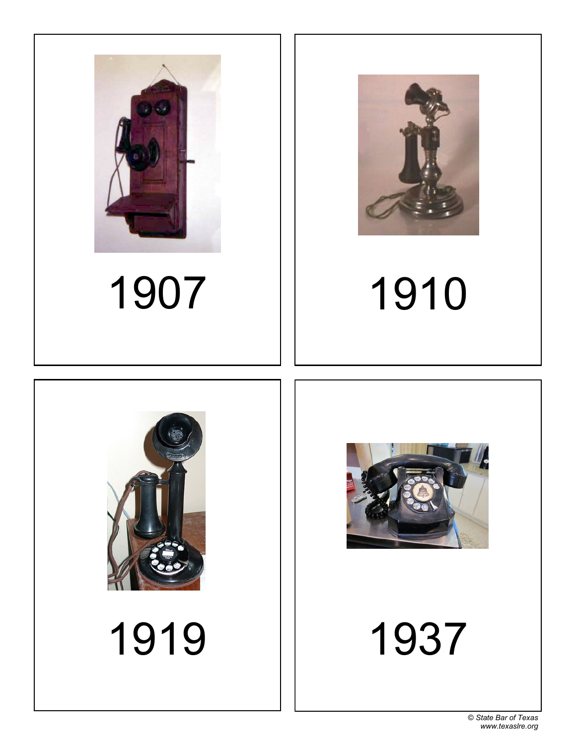

## 1907 1910







## 1919 1937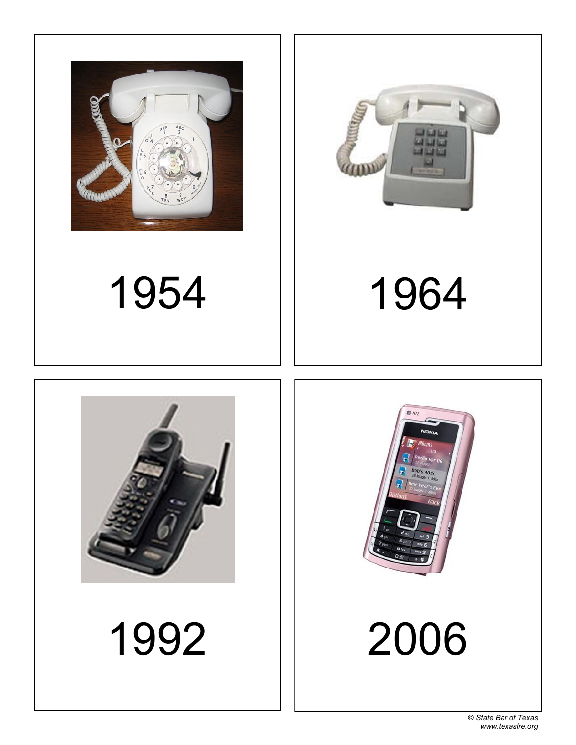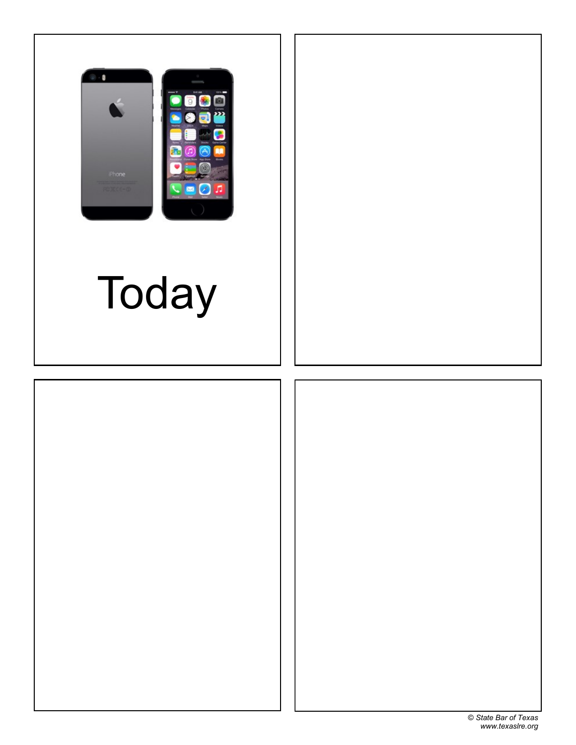

# Today